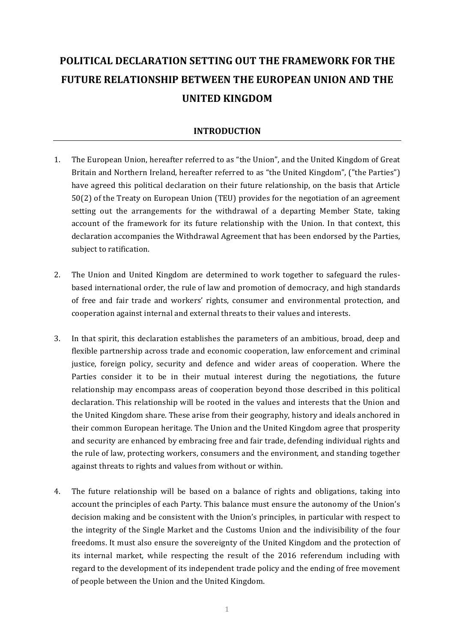# **POLITICAL DECLARATION SETTING OUT THE FRAMEWORK FOR THE FUTURE RELATIONSHIP BETWEEN THE EUROPEAN UNION AND THE UNITED KINGDOM**

# **INTRODUCTION**

- 1. The European Union, hereafter referred to as "the Union", and the United Kingdom of Great Britain and Northern Ireland, hereafter referred to as "the United Kingdom", ("the Parties") have agreed this political declaration on their future relationship, on the basis that Article 50(2) of the Treaty on European Union (TEU) provides for the negotiation of an agreement setting out the arrangements for the withdrawal of a departing Member State, taking account of the framework for its future relationship with the Union. In that context, this declaration accompanies the Withdrawal Agreement that has been endorsed by the Parties, subject to ratification.
- 2. The Union and United Kingdom are determined to work together to safeguard the rulesbased international order, the rule of law and promotion of democracy, and high standards of free and fair trade and workers' rights, consumer and environmental protection, and cooperation against internal and external threats to their values and interests.
- 3. In that spirit, this declaration establishes the parameters of an ambitious, broad, deep and flexible partnership across trade and economic cooperation, law enforcement and criminal justice, foreign policy, security and defence and wider areas of cooperation. Where the Parties consider it to be in their mutual interest during the negotiations, the future relationship may encompass areas of cooperation beyond those described in this political declaration. This relationship will be rooted in the values and interests that the Union and the United Kingdom share. These arise from their geography, history and ideals anchored in their common European heritage. The Union and the United Kingdom agree that prosperity and security are enhanced by embracing free and fair trade, defending individual rights and the rule of law, protecting workers, consumers and the environment, and standing together against threats to rights and values from without or within.
- 4. The future relationship will be based on a balance of rights and obligations, taking into account the principles of each Party. This balance must ensure the autonomy of the Union's decision making and be consistent with the Union's principles, in particular with respect to the integrity of the Single Market and the Customs Union and the indivisibility of the four freedoms. It must also ensure the sovereignty of the United Kingdom and the protection of its internal market, while respecting the result of the 2016 referendum including with regard to the development of its independent trade policy and the ending of free movement of people between the Union and the United Kingdom.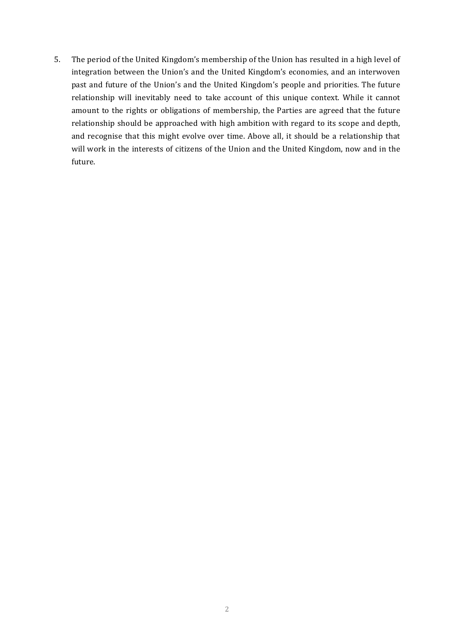5. The period of the United Kingdom's membership of the Union has resulted in a high level of integration between the Union's and the United Kingdom's economies, and an interwoven past and future of the Union's and the United Kingdom's people and priorities. The future relationship will inevitably need to take account of this unique context. While it cannot amount to the rights or obligations of membership, the Parties are agreed that the future relationship should be approached with high ambition with regard to its scope and depth, and recognise that this might evolve over time. Above all, it should be a relationship that will work in the interests of citizens of the Union and the United Kingdom, now and in the future.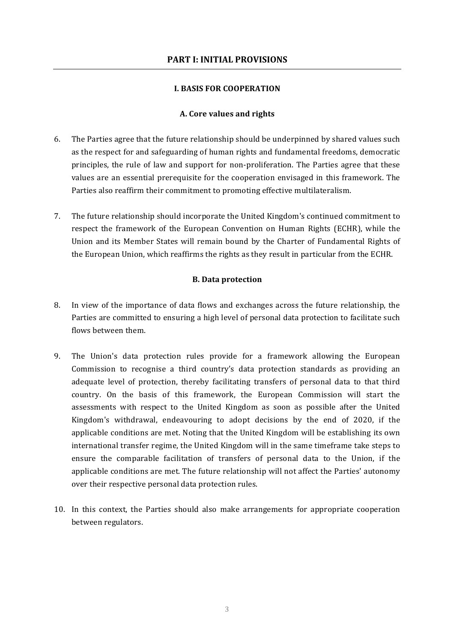## **PART I: INITIAL PROVISIONS**

## **I. BASIS FOR COOPERATION**

## **A. Core values and rights**

- 6. The Parties agree that the future relationship should be underpinned by shared values such as the respect for and safeguarding of human rights and fundamental freedoms, democratic principles, the rule of law and support for non-proliferation. The Parties agree that these values are an essential prerequisite for the cooperation envisaged in this framework. The Parties also reaffirm their commitment to promoting effective multilateralism.
- 7. The future relationship should incorporate the United Kingdom's continued commitment to respect the framework of the European Convention on Human Rights (ECHR), while the Union and its Member States will remain bound by the Charter of Fundamental Rights of the European Union, which reaffirms the rights as they result in particular from the ECHR.

#### **B. Data protection**

- 8. In view of the importance of data flows and exchanges across the future relationship, the Parties are committed to ensuring a high level of personal data protection to facilitate such flows between them.
- 9. The Union's data protection rules provide for a framework allowing the European Commission to recognise a third country's data protection standards as providing an adequate level of protection, thereby facilitating transfers of personal data to that third country. On the basis of this framework, the European Commission will start the assessments with respect to the United Kingdom as soon as possible after the United Kingdom's withdrawal, endeavouring to adopt decisions by the end of 2020, if the applicable conditions are met. Noting that the United Kingdom will be establishing its own international transfer regime, the United Kingdom will in the same timeframe take steps to ensure the comparable facilitation of transfers of personal data to the Union, if the applicable conditions are met. The future relationship will not affect the Parties' autonomy over their respective personal data protection rules.
- 10. In this context, the Parties should also make arrangements for appropriate cooperation between regulators.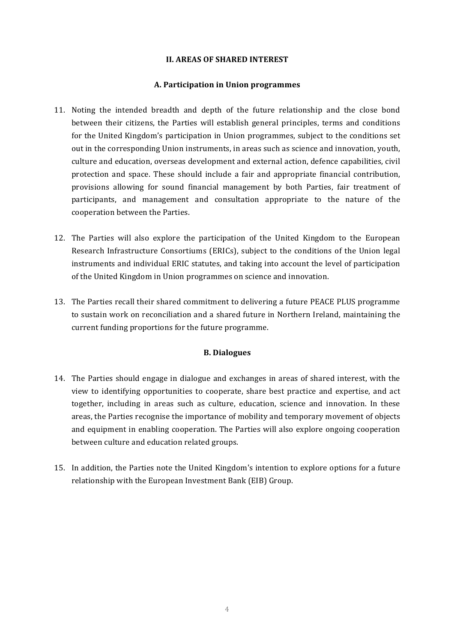#### **II. AREAS OF SHARED INTEREST**

#### **A. Participation in Union programmes**

- 11. Noting the intended breadth and depth of the future relationship and the close bond between their citizens, the Parties will establish general principles, terms and conditions for the United Kingdom's participation in Union programmes, subject to the conditions set out in the corresponding Union instruments, in areas such as science and innovation, youth, culture and education, overseas development and external action, defence capabilities, civil protection and space. These should include a fair and appropriate financial contribution, provisions allowing for sound financial management by both Parties, fair treatment of participants, and management and consultation appropriate to the nature of the cooperation between the Parties.
- 12. The Parties will also explore the participation of the United Kingdom to the European Research Infrastructure Consortiums (ERICs), subject to the conditions of the Union legal instruments and individual ERIC statutes, and taking into account the level of participation of the United Kingdom in Union programmes on science and innovation.
- 13. The Parties recall their shared commitment to delivering a future PEACE PLUS programme to sustain work on reconciliation and a shared future in Northern Ireland, maintaining the current funding proportions for the future programme.

#### **B. Dialogues**

- 14. The Parties should engage in dialogue and exchanges in areas of shared interest, with the view to identifying opportunities to cooperate, share best practice and expertise, and act together, including in areas such as culture, education, science and innovation. In these areas, the Parties recognise the importance of mobility and temporary movement of objects and equipment in enabling cooperation. The Parties will also explore ongoing cooperation between culture and education related groups.
- 15. In addition, the Parties note the United Kingdom's intention to explore options for a future relationship with the European Investment Bank (EIB) Group.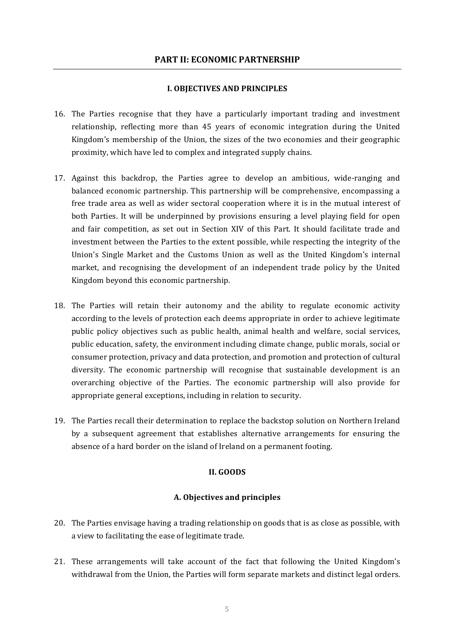#### **PART II: ECONOMIC PARTNERSHIP**

#### **I. OBIECTIVES AND PRINCIPLES**

- 16. The Parties recognise that they have a particularly important trading and investment relationship, reflecting more than 45 years of economic integration during the United Kingdom's membership of the Union, the sizes of the two economies and their geographic proximity, which have led to complex and integrated supply chains.
- 17. Against this backdrop, the Parties agree to develop an ambitious, wide-ranging and balanced economic partnership. This partnership will be comprehensive, encompassing a free trade area as well as wider sectoral cooperation where it is in the mutual interest of both Parties. It will be underpinned by provisions ensuring a level playing field for open and fair competition, as set out in Section XIV of this Part. It should facilitate trade and investment between the Parties to the extent possible, while respecting the integrity of the Union's Single Market and the Customs Union as well as the United Kingdom's internal market, and recognising the development of an independent trade policy by the United Kingdom beyond this economic partnership.
- 18. The Parties will retain their autonomy and the ability to regulate economic activity according to the levels of protection each deems appropriate in order to achieve legitimate public policy objectives such as public health, animal health and welfare, social services, public education, safety, the environment including climate change, public morals, social or consumer protection, privacy and data protection, and promotion and protection of cultural diversity. The economic partnership will recognise that sustainable development is an overarching objective of the Parties. The economic partnership will also provide for appropriate general exceptions, including in relation to security.
- 19. The Parties recall their determination to replace the backstop solution on Northern Ireland by a subsequent agreement that establishes alternative arrangements for ensuring the absence of a hard border on the island of Ireland on a permanent footing.

#### **II. GOODS**

#### **A. Objectives and principles**

- 20. The Parties envisage having a trading relationship on goods that is as close as possible, with a view to facilitating the ease of legitimate trade.
- 21. These arrangements will take account of the fact that following the United Kingdom's withdrawal from the Union, the Parties will form separate markets and distinct legal orders.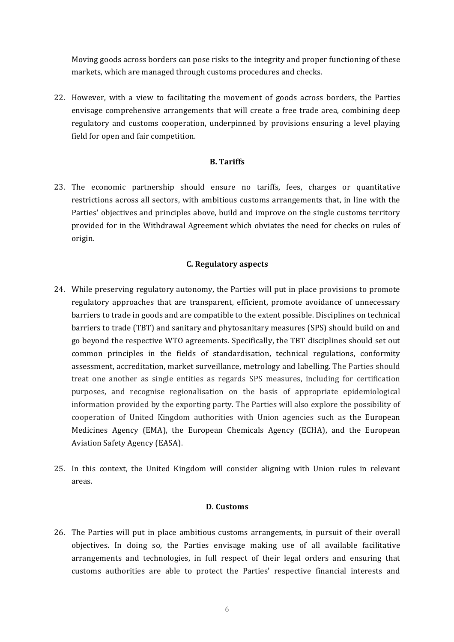Moving goods across borders can pose risks to the integrity and proper functioning of these markets, which are managed through customs procedures and checks.

22. However, with a view to facilitating the movement of goods across borders, the Parties envisage comprehensive arrangements that will create a free trade area, combining deep regulatory and customs cooperation, underpinned by provisions ensuring a level playing field for open and fair competition.

## **B. Tariffs**

23. The economic partnership should ensure no tariffs, fees, charges or quantitative restrictions across all sectors, with ambitious customs arrangements that, in line with the Parties' objectives and principles above, build and improve on the single customs territory provided for in the Withdrawal Agreement which obviates the need for checks on rules of origin.

## **C. Regulatory aspects**

- 24. While preserving regulatory autonomy, the Parties will put in place provisions to promote regulatory approaches that are transparent, efficient, promote avoidance of unnecessary barriers to trade in goods and are compatible to the extent possible. Disciplines on technical barriers to trade (TBT) and sanitary and phytosanitary measures (SPS) should build on and go beyond the respective WTO agreements. Specifically, the TBT disciplines should set out common principles in the fields of standardisation, technical regulations, conformity assessment, accreditation, market surveillance, metrology and labelling. The Parties should treat one another as single entities as regards SPS measures, including for certification purposes, and recognise regionalisation on the basis of appropriate epidemiological information provided by the exporting party. The Parties will also explore the possibility of cooperation of United Kingdom authorities with Union agencies such as the European Medicines Agency (EMA), the European Chemicals Agency (ECHA), and the European Aviation Safety Agency (EASA).
- 25. In this context, the United Kingdom will consider aligning with Union rules in relevant areas.

## **D. Customs**

26. The Parties will put in place ambitious customs arrangements, in pursuit of their overall objectives. In doing so, the Parties envisage making use of all available facilitative arrangements and technologies, in full respect of their legal orders and ensuring that customs authorities are able to protect the Parties' respective financial interests and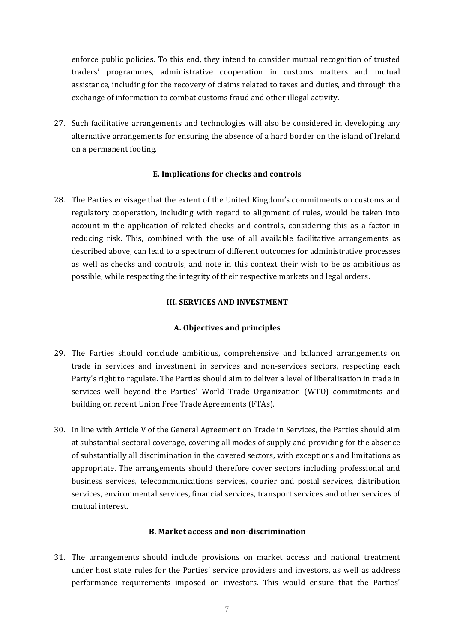enforce public policies. To this end, they intend to consider mutual recognition of trusted traders' programmes, administrative cooperation in customs matters and mutual assistance, including for the recovery of claims related to taxes and duties, and through the exchange of information to combat customs fraud and other illegal activity.

27. Such facilitative arrangements and technologies will also be considered in developing any alternative arrangements for ensuring the absence of a hard border on the island of Ireland on a permanent footing.

#### **E.** Implications for checks and controls

28. The Parties envisage that the extent of the United Kingdom's commitments on customs and regulatory cooperation, including with regard to alignment of rules, would be taken into account in the application of related checks and controls, considering this as a factor in reducing risk. This, combined with the use of all available facilitative arrangements as described above, can lead to a spectrum of different outcomes for administrative processes as well as checks and controls, and note in this context their wish to be as ambitious as possible, while respecting the integrity of their respective markets and legal orders.

#### **III. SERVICES AND INVESTMENT**

## **A. Objectives and principles**

- 29. The Parties should conclude ambitious, comprehensive and balanced arrangements on trade in services and investment in services and non-services sectors, respecting each Party's right to regulate. The Parties should aim to deliver a level of liberalisation in trade in services well beyond the Parties' World Trade Organization (WTO) commitments and building on recent Union Free Trade Agreements (FTAs).
- 30. In line with Article V of the General Agreement on Trade in Services, the Parties should aim at substantial sectoral coverage, covering all modes of supply and providing for the absence of substantially all discrimination in the covered sectors, with exceptions and limitations as appropriate. The arrangements should therefore cover sectors including professional and business services, telecommunications services, courier and postal services, distribution services, environmental services, financial services, transport services and other services of mutual interest.

#### **B. Market access and non-discrimination**

31. The arrangements should include provisions on market access and national treatment under host state rules for the Parties' service providers and investors, as well as address performance requirements imposed on investors. This would ensure that the Parties'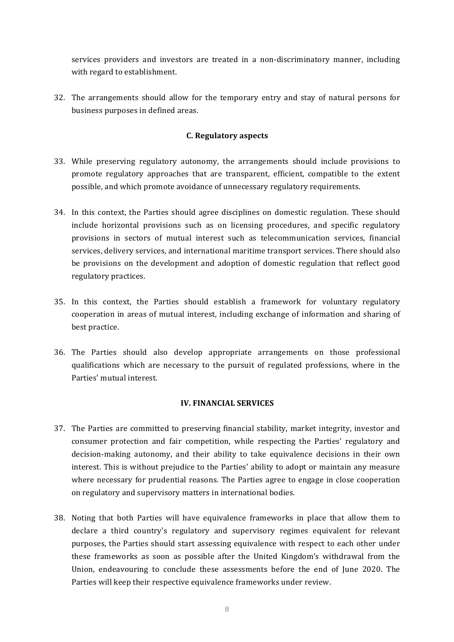services providers and investors are treated in a non-discriminatory manner, including with regard to establishment.

32. The arrangements should allow for the temporary entry and stay of natural persons for business purposes in defined areas.

## **C. Regulatory aspects**

- 33. While preserving regulatory autonomy, the arrangements should include provisions to promote regulatory approaches that are transparent, efficient, compatible to the extent possible, and which promote avoidance of unnecessary regulatory requirements.
- 34. In this context, the Parties should agree disciplines on domestic regulation. These should include horizontal provisions such as on licensing procedures, and specific regulatory provisions in sectors of mutual interest such as telecommunication services, financial services, delivery services, and international maritime transport services. There should also be provisions on the development and adoption of domestic regulation that reflect good regulatory practices.
- 35. In this context, the Parties should establish a framework for voluntary regulatory cooperation in areas of mutual interest, including exchange of information and sharing of best practice.
- 36. The Parties should also develop appropriate arrangements on those professional qualifications which are necessary to the pursuit of regulated professions, where in the Parties' mutual interest.

## **IV. FINANCIAL SERVICES**

- 37. The Parties are committed to preserving financial stability, market integrity, investor and consumer protection and fair competition, while respecting the Parties' regulatory and decision-making autonomy, and their ability to take equivalence decisions in their own interest. This is without prejudice to the Parties' ability to adopt or maintain any measure where necessary for prudential reasons. The Parties agree to engage in close cooperation on regulatory and supervisory matters in international bodies.
- 38. Noting that both Parties will have equivalence frameworks in place that allow them to declare a third country's regulatory and supervisory regimes equivalent for relevant purposes, the Parties should start assessing equivalence with respect to each other under these frameworks as soon as possible after the United Kingdom's withdrawal from the Union, endeavouring to conclude these assessments before the end of June 2020. The Parties will keep their respective equivalence frameworks under review.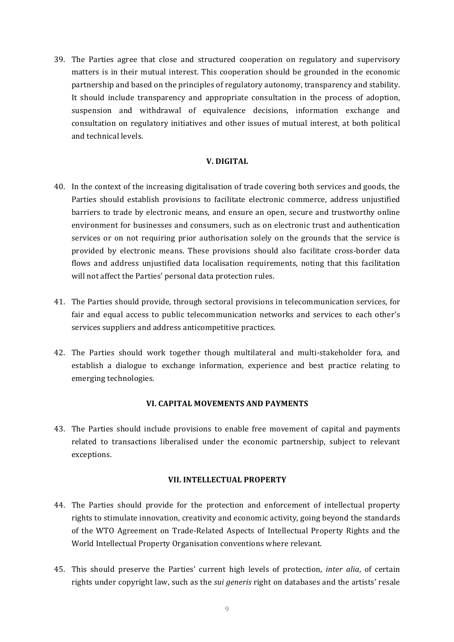39. The Parties agree that close and structured cooperation on regulatory and supervisory matters is in their mutual interest. This cooperation should be grounded in the economic partnership and based on the principles of regulatory autonomy, transparency and stability. It should include transparency and appropriate consultation in the process of adoption, suspension and withdrawal of equivalence decisions, information exchange and consultation on regulatory initiatives and other issues of mutual interest, at both political and technical levels.

#### **V. DIGITAL**

- 40. In the context of the increasing digitalisation of trade covering both services and goods, the Parties should establish provisions to facilitate electronic commerce, address unjustified barriers to trade by electronic means, and ensure an open, secure and trustworthy online environment for businesses and consumers, such as on electronic trust and authentication services or on not requiring prior authorisation solely on the grounds that the service is provided by electronic means. These provisions should also facilitate cross-border data flows and address unjustified data localisation requirements, noting that this facilitation will not affect the Parties' personal data protection rules.
- 41. The Parties should provide, through sectoral provisions in telecommunication services, for fair and equal access to public telecommunication networks and services to each other's services suppliers and address anticompetitive practices.
- 42. The Parties should work together though multilateral and multi-stakeholder fora, and establish a dialogue to exchange information, experience and best practice relating to emerging technologies.

#### **VI. CAPITAL MOVEMENTS AND PAYMENTS**

43. The Parties should include provisions to enable free movement of capital and payments related to transactions liberalised under the economic partnership, subject to relevant exceptions.

#### **VII. INTELLECTUAL PROPERTY**

- 44. The Parties should provide for the protection and enforcement of intellectual property rights to stimulate innovation, creativity and economic activity, going beyond the standards of the WTO Agreement on Trade-Related Aspects of Intellectual Property Rights and the World Intellectual Property Organisation conventions where relevant.
- 45. This should preserve the Parties' current high levels of protection, *inter alia*, of certain rights under copyright law, such as the *sui generis* right on databases and the artists' resale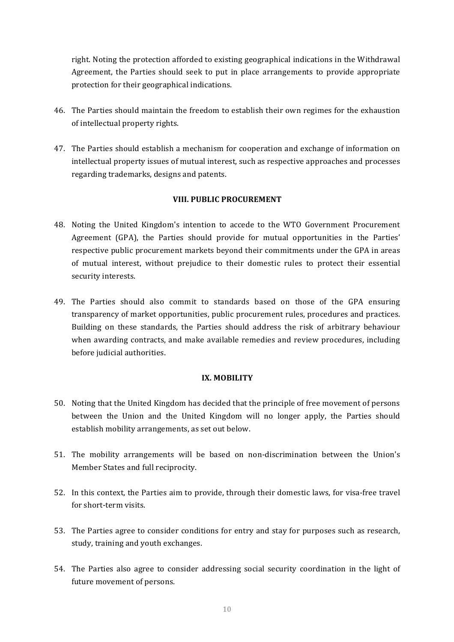right. Noting the protection afforded to existing geographical indications in the Withdrawal Agreement, the Parties should seek to put in place arrangements to provide appropriate protection for their geographical indications.

- 46. The Parties should maintain the freedom to establish their own regimes for the exhaustion of intellectual property rights.
- 47. The Parties should establish a mechanism for cooperation and exchange of information on intellectual property issues of mutual interest, such as respective approaches and processes regarding trademarks, designs and patents.

## **VIII. PUBLIC PROCUREMENT**

- 48. Noting the United Kingdom's intention to accede to the WTO Government Procurement Agreement (GPA), the Parties should provide for mutual opportunities in the Parties' respective public procurement markets beyond their commitments under the GPA in areas of mutual interest, without prejudice to their domestic rules to protect their essential security interests.
- 49. The Parties should also commit to standards based on those of the GPA ensuring transparency of market opportunities, public procurement rules, procedures and practices. Building on these standards, the Parties should address the risk of arbitrary behaviour when awarding contracts, and make available remedies and review procedures, including before judicial authorities.

## **IX. MOBILITY**

- 50. Noting that the United Kingdom has decided that the principle of free movement of persons between the Union and the United Kingdom will no longer apply, the Parties should establish mobility arrangements, as set out below.
- 51. The mobility arrangements will be based on non-discrimination between the Union's Member States and full reciprocity.
- 52. In this context, the Parties aim to provide, through their domestic laws, for visa-free travel for short-term visits.
- 53. The Parties agree to consider conditions for entry and stay for purposes such as research, study, training and youth exchanges.
- 54. The Parties also agree to consider addressing social security coordination in the light of future movement of persons.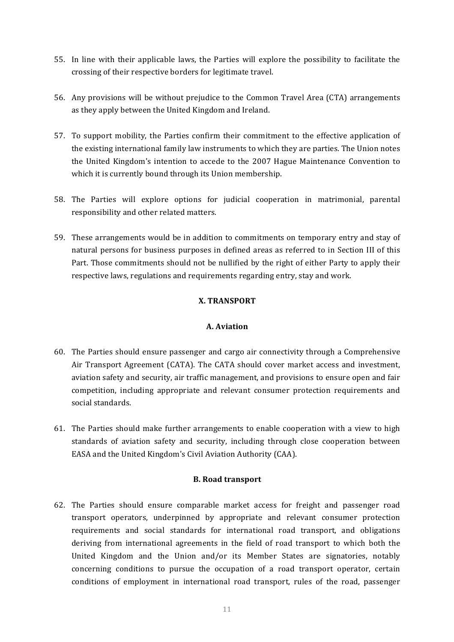- 55. In line with their applicable laws, the Parties will explore the possibility to facilitate the crossing of their respective borders for legitimate travel.
- 56. Any provisions will be without prejudice to the Common Travel Area (CTA) arrangements as they apply between the United Kingdom and Ireland.
- 57. To support mobility, the Parties confirm their commitment to the effective application of the existing international family law instruments to which they are parties. The Union notes the United Kingdom's intention to accede to the 2007 Hague Maintenance Convention to which it is currently bound through its Union membership.
- 58. The Parties will explore options for judicial cooperation in matrimonial, parental responsibility and other related matters.
- 59. These arrangements would be in addition to commitments on temporary entry and stay of natural persons for business purposes in defined areas as referred to in Section III of this Part. Those commitments should not be nullified by the right of either Party to apply their respective laws, regulations and requirements regarding entry, stay and work.

# **X. TRANSPORT**

## **A. Aviation**

- 60. The Parties should ensure passenger and cargo air connectivity through a Comprehensive Air Transport Agreement (CATA). The CATA should cover market access and investment, aviation safety and security, air traffic management, and provisions to ensure open and fair competition, including appropriate and relevant consumer protection requirements and social standards.
- 61. The Parties should make further arrangements to enable cooperation with a view to high standards of aviation safety and security, including through close cooperation between EASA and the United Kingdom's Civil Aviation Authority (CAA).

## **B. Road transport**

62. The Parties should ensure comparable market access for freight and passenger road transport operators, underpinned by appropriate and relevant consumer protection requirements and social standards for international road transport, and obligations deriving from international agreements in the field of road transport to which both the United Kingdom and the Union and/or its Member States are signatories, notably concerning conditions to pursue the occupation of a road transport operator, certain conditions of employment in international road transport, rules of the road, passenger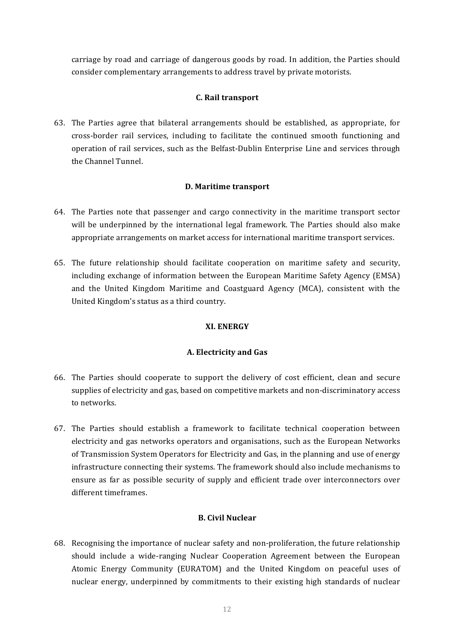carriage by road and carriage of dangerous goods by road. In addition, the Parties should consider complementary arrangements to address travel by private motorists.

# **C. Rail transport**

63. The Parties agree that bilateral arrangements should be established, as appropriate, for cross-border rail services, including to facilitate the continued smooth functioning and operation of rail services, such as the Belfast-Dublin Enterprise Line and services through the Channel Tunnel.

# **D. Maritime transport**

- 64. The Parties note that passenger and cargo connectivity in the maritime transport sector will be underpinned by the international legal framework. The Parties should also make appropriate arrangements on market access for international maritime transport services.
- 65. The future relationship should facilitate cooperation on maritime safety and security, including exchange of information between the European Maritime Safety Agency (EMSA) and the United Kingdom Maritime and Coastguard Agency (MCA), consistent with the United Kingdom's status as a third country.

## **XI. ENERGY**

# **A. Electricity and Gas**

- 66. The Parties should cooperate to support the delivery of cost efficient, clean and secure supplies of electricity and gas, based on competitive markets and non-discriminatory access to networks.
- 67. The Parties should establish a framework to facilitate technical cooperation between electricity and gas networks operators and organisations, such as the European Networks of Transmission System Operators for Electricity and Gas, in the planning and use of energy infrastructure connecting their systems. The framework should also include mechanisms to ensure as far as possible security of supply and efficient trade over interconnectors over different timeframes.

# **B. Civil Nuclear**

68. Recognising the importance of nuclear safety and non-proliferation, the future relationship should include a wide-ranging Nuclear Cooperation Agreement between the European Atomic Energy Community (EURATOM) and the United Kingdom on peaceful uses of nuclear energy, underpinned by commitments to their existing high standards of nuclear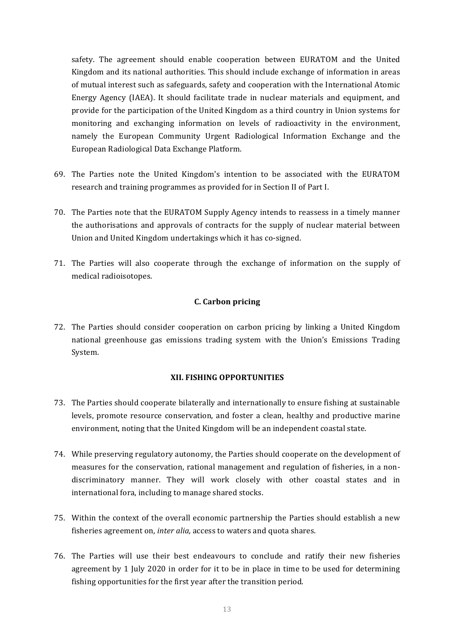safety. The agreement should enable cooperation between EURATOM and the United Kingdom and its national authorities. This should include exchange of information in areas of mutual interest such as safeguards, safety and cooperation with the International Atomic Energy Agency (IAEA). It should facilitate trade in nuclear materials and equipment, and provide for the participation of the United Kingdom as a third country in Union systems for monitoring and exchanging information on levels of radioactivity in the environment, namely the European Community Urgent Radiological Information Exchange and the European Radiological Data Exchange Platform. 

- 69. The Parties note the United Kingdom's intention to be associated with the EURATOM research and training programmes as provided for in Section II of Part I.
- 70. The Parties note that the EURATOM Supply Agency intends to reassess in a timely manner the authorisations and approvals of contracts for the supply of nuclear material between Union and United Kingdom undertakings which it has co-signed.
- 71. The Parties will also cooperate through the exchange of information on the supply of medical radioisotopes.

# **C. Carbon pricing**

72. The Parties should consider cooperation on carbon pricing by linking a United Kingdom national greenhouse gas emissions trading system with the Union's Emissions Trading System.

## **XII. FISHING OPPORTUNITIES**

- 73. The Parties should cooperate bilaterally and internationally to ensure fishing at sustainable levels, promote resource conservation, and foster a clean, healthy and productive marine environment, noting that the United Kingdom will be an independent coastal state.
- 74. While preserving regulatory autonomy, the Parties should cooperate on the development of measures for the conservation, rational management and regulation of fisheries, in a nondiscriminatory manner. They will work closely with other coastal states and in international fora, including to manage shared stocks.
- 75. Within the context of the overall economic partnership the Parties should establish a new fisheries agreement on, *inter alia*, access to waters and quota shares.
- 76. The Parties will use their best endeavours to conclude and ratify their new fisheries agreement by 1 July 2020 in order for it to be in place in time to be used for determining fishing opportunities for the first year after the transition period.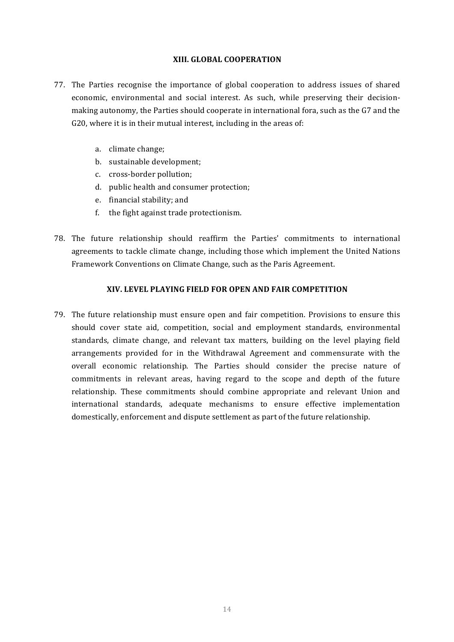#### **XIII. GLOBAL COOPERATION**

- 77. The Parties recognise the importance of global cooperation to address issues of shared economic, environmental and social interest. As such, while preserving their decisionmaking autonomy, the Parties should cooperate in international fora, such as the G7 and the G20, where it is in their mutual interest, including in the areas of:
	- a. climate change;
	- b. sustainable development;
	- c. cross-border pollution;
	- d. public health and consumer protection;
	- e. financial stability; and
	- f. the fight against trade protectionism.
- 78. The future relationship should reaffirm the Parties' commitments to international agreements to tackle climate change, including those which implement the United Nations Framework Conventions on Climate Change, such as the Paris Agreement.

#### **XIV. LEVEL PLAYING FIELD FOR OPEN AND FAIR COMPETITION**

79. The future relationship must ensure open and fair competition. Provisions to ensure this should cover state aid, competition, social and employment standards, environmental standards, climate change, and relevant tax matters, building on the level playing field arrangements provided for in the Withdrawal Agreement and commensurate with the overall economic relationship. The Parties should consider the precise nature of commitments in relevant areas, having regard to the scope and depth of the future relationship. These commitments should combine appropriate and relevant Union and international standards, adequate mechanisms to ensure effective implementation domestically, enforcement and dispute settlement as part of the future relationship.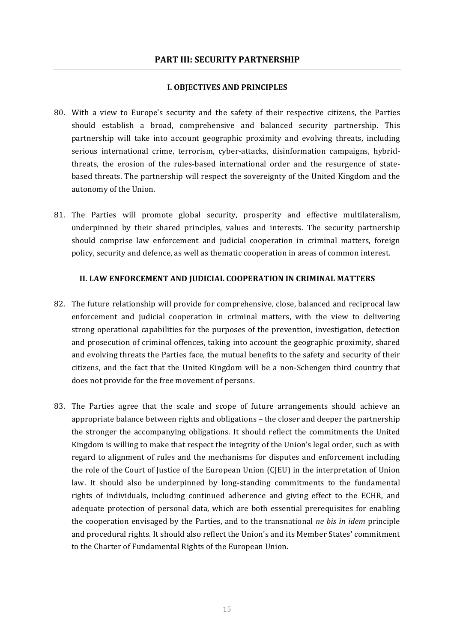#### **PART III: SECURITY PARTNERSHIP**

#### **I. OBJECTIVES AND PRINCIPLES**

- 80. With a view to Europe's security and the safety of their respective citizens, the Parties should establish a broad, comprehensive and balanced security partnership. This partnership will take into account geographic proximity and evolving threats, including serious international crime, terrorism, cyber-attacks, disinformation campaigns, hybridthreats, the erosion of the rules-based international order and the resurgence of statebased threats. The partnership will respect the sovereignty of the United Kingdom and the autonomy of the Union.
- 81. The Parties will promote global security, prosperity and effective multilateralism, underpinned by their shared principles, values and interests. The security partnership should comprise law enforcement and judicial cooperation in criminal matters, foreign policy, security and defence, as well as thematic cooperation in areas of common interest.

#### **II. LAW ENFORCEMENT AND JUDICIAL COOPERATION IN CRIMINAL MATTERS**

- 82. The future relationship will provide for comprehensive, close, balanced and reciprocal law enforcement and judicial cooperation in criminal matters, with the view to delivering strong operational capabilities for the purposes of the prevention, investigation, detection and prosecution of criminal offences, taking into account the geographic proximity, shared and evolving threats the Parties face, the mutual benefits to the safety and security of their citizens, and the fact that the United Kingdom will be a non-Schengen third country that does not provide for the free movement of persons.
- 83. The Parties agree that the scale and scope of future arrangements should achieve an appropriate balance between rights and obligations – the closer and deeper the partnership the stronger the accompanying obligations. It should reflect the commitments the United Kingdom is willing to make that respect the integrity of the Union's legal order, such as with regard to alignment of rules and the mechanisms for disputes and enforcement including the role of the Court of Justice of the European Union (CJEU) in the interpretation of Union law. It should also be underpinned by long-standing commitments to the fundamental rights of individuals, including continued adherence and giving effect to the ECHR, and adequate protection of personal data, which are both essential prerequisites for enabling the cooperation envisaged by the Parties, and to the transnational *ne bis in idem* principle and procedural rights. It should also reflect the Union's and its Member States' commitment to the Charter of Fundamental Rights of the European Union.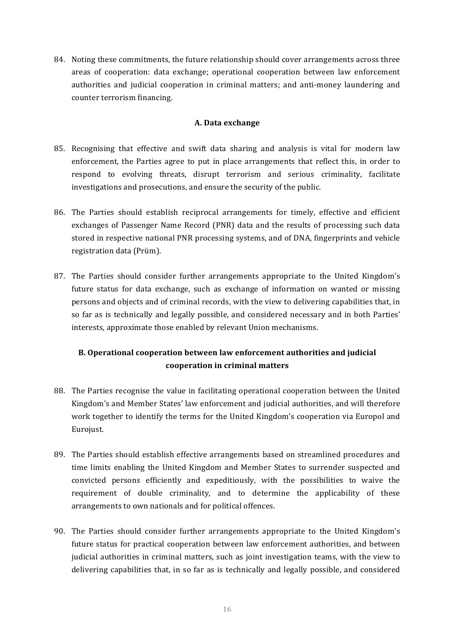84. Noting these commitments, the future relationship should cover arrangements across three areas of cooperation: data exchange; operational cooperation between law enforcement authorities and judicial cooperation in criminal matters; and anti-money laundering and counter terrorism financing.

## **A. Data exchange**

- 85. Recognising that effective and swift data sharing and analysis is vital for modern law enforcement, the Parties agree to put in place arrangements that reflect this, in order to respond to evolving threats, disrupt terrorism and serious criminality, facilitate investigations and prosecutions, and ensure the security of the public.
- 86. The Parties should establish reciprocal arrangements for timely, effective and efficient exchanges of Passenger Name Record (PNR) data and the results of processing such data stored in respective national PNR processing systems, and of DNA, fingerprints and vehicle registration data (Prüm).
- 87. The Parties should consider further arrangements appropriate to the United Kingdom's future status for data exchange, such as exchange of information on wanted or missing persons and objects and of criminal records, with the view to delivering capabilities that, in so far as is technically and legally possible, and considered necessary and in both Parties' interests, approximate those enabled by relevant Union mechanisms.

# **B.** Operational cooperation between law enforcement authorities and judicial **cooperation in criminal matters**

- 88. The Parties recognise the value in facilitating operational cooperation between the United Kingdom's and Member States' law enforcement and judicial authorities, and will therefore work together to identify the terms for the United Kingdom's cooperation via Europol and Eurojust.
- 89. The Parties should establish effective arrangements based on streamlined procedures and time limits enabling the United Kingdom and Member States to surrender suspected and convicted persons efficiently and expeditiously, with the possibilities to waive the requirement of double criminality, and to determine the applicability of these arrangements to own nationals and for political offences.
- 90. The Parties should consider further arrangements appropriate to the United Kingdom's future status for practical cooperation between law enforcement authorities, and between judicial authorities in criminal matters, such as joint investigation teams, with the view to delivering capabilities that, in so far as is technically and legally possible, and considered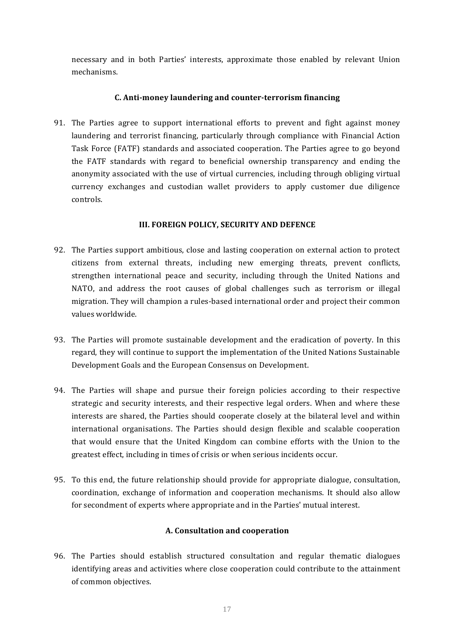necessary and in both Parties' interests, approximate those enabled by relevant Union mechanisms.

## **C. Anti-money laundering and counter-terrorism financing**

91. The Parties agree to support international efforts to prevent and fight against money laundering and terrorist financing, particularly through compliance with Financial Action Task Force (FATF) standards and associated cooperation. The Parties agree to go beyond the FATF standards with regard to beneficial ownership transparency and ending the anonymity associated with the use of virtual currencies, including through obliging virtual currency exchanges and custodian wallet providers to apply customer due diligence controls.

# **III. FOREIGN POLICY, SECURITY AND DEFENCE**

- 92. The Parties support ambitious, close and lasting cooperation on external action to protect citizens from external threats, including new emerging threats, prevent conflicts, strengthen international peace and security, including through the United Nations and NATO, and address the root causes of global challenges such as terrorism or illegal migration. They will champion a rules-based international order and project their common values worldwide.
- 93. The Parties will promote sustainable development and the eradication of poverty. In this regard, they will continue to support the implementation of the United Nations Sustainable Development Goals and the European Consensus on Development.
- 94. The Parties will shape and pursue their foreign policies according to their respective strategic and security interests, and their respective legal orders. When and where these interests are shared, the Parties should cooperate closely at the bilateral level and within international organisations. The Parties should design flexible and scalable cooperation that would ensure that the United Kingdom can combine efforts with the Union to the greatest effect, including in times of crisis or when serious incidents occur.
- 95. To this end, the future relationship should provide for appropriate dialogue, consultation, coordination, exchange of information and cooperation mechanisms. It should also allow for secondment of experts where appropriate and in the Parties' mutual interest.

# **A. Consultation and cooperation**

96. The Parties should establish structured consultation and regular thematic dialogues identifying areas and activities where close cooperation could contribute to the attainment of common objectives.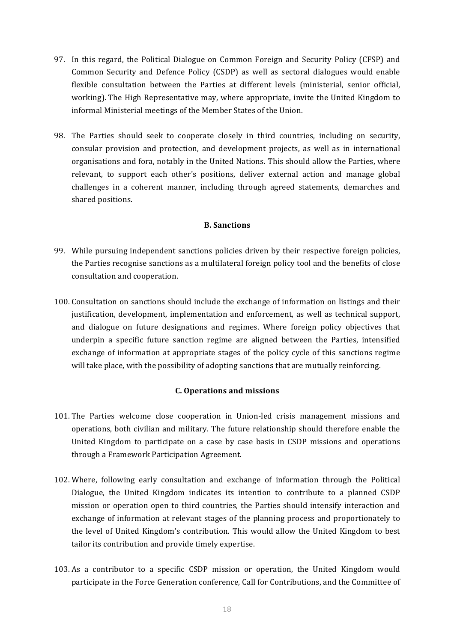- 97. In this regard, the Political Dialogue on Common Foreign and Security Policy (CFSP) and Common Security and Defence Policy (CSDP) as well as sectoral dialogues would enable flexible consultation between the Parties at different levels (ministerial, senior official, working). The High Representative may, where appropriate, invite the United Kingdom to informal Ministerial meetings of the Member States of the Union.
- 98. The Parties should seek to cooperate closely in third countries, including on security, consular provision and protection, and development projects, as well as in international organisations and fora, notably in the United Nations. This should allow the Parties, where relevant, to support each other's positions, deliver external action and manage global challenges in a coherent manner, including through agreed statements, demarches and shared positions.

#### **B. Sanctions**

- 99. While pursuing independent sanctions policies driven by their respective foreign policies, the Parties recognise sanctions as a multilateral foreign policy tool and the benefits of close consultation and cooperation.
- 100. Consultation on sanctions should include the exchange of information on listings and their justification, development, implementation and enforcement, as well as technical support, and dialogue on future designations and regimes. Where foreign policy objectives that underpin a specific future sanction regime are aligned between the Parties, intensified exchange of information at appropriate stages of the policy cycle of this sanctions regime will take place, with the possibility of adopting sanctions that are mutually reinforcing.

## **C. Operations and missions**

- 101. The Parties welcome close cooperation in Union-led crisis management missions and operations, both civilian and military. The future relationship should therefore enable the United Kingdom to participate on a case by case basis in CSDP missions and operations through a Framework Participation Agreement.
- 102. Where, following early consultation and exchange of information through the Political Dialogue, the United Kingdom indicates its intention to contribute to a planned CSDP mission or operation open to third countries, the Parties should intensify interaction and exchange of information at relevant stages of the planning process and proportionately to the level of United Kingdom's contribution. This would allow the United Kingdom to best tailor its contribution and provide timely expertise.
- 103. As a contributor to a specific CSDP mission or operation, the United Kingdom would participate in the Force Generation conference, Call for Contributions, and the Committee of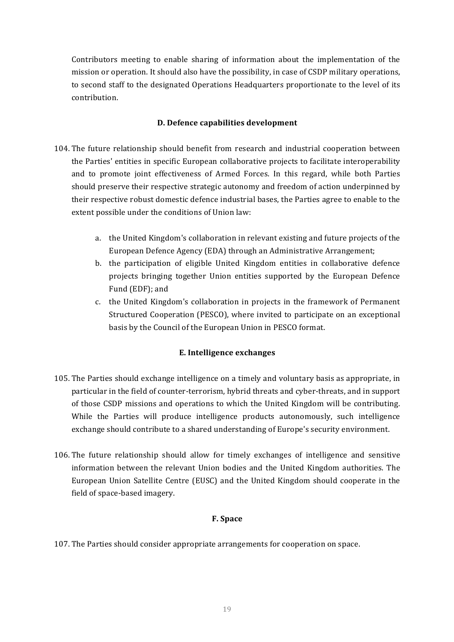Contributors meeting to enable sharing of information about the implementation of the mission or operation. It should also have the possibility, in case of CSDP military operations, to second staff to the designated Operations Headquarters proportionate to the level of its contribution.

# **D. Defence capabilities development**

- 104. The future relationship should benefit from research and industrial cooperation between the Parties' entities in specific European collaborative projects to facilitate interoperability and to promote joint effectiveness of Armed Forces. In this regard, while both Parties should preserve their respective strategic autonomy and freedom of action underpinned by their respective robust domestic defence industrial bases, the Parties agree to enable to the extent possible under the conditions of Union law:
	- a. the United Kingdom's collaboration in relevant existing and future projects of the European Defence Agency (EDA) through an Administrative Arrangement;
	- b. the participation of eligible United Kingdom entities in collaborative defence projects bringing together Union entities supported by the European Defence Fund (EDF); and
	- c. the United Kingdom's collaboration in projects in the framework of Permanent Structured Cooperation (PESCO), where invited to participate on an exceptional basis by the Council of the European Union in PESCO format.

# **E. Intelligence exchanges**

- 105. The Parties should exchange intelligence on a timely and voluntary basis as appropriate, in particular in the field of counter-terrorism, hybrid threats and cyber-threats, and in support of those CSDP missions and operations to which the United Kingdom will be contributing. While the Parties will produce intelligence products autonomously, such intelligence exchange should contribute to a shared understanding of Europe's security environment.
- 106. The future relationship should allow for timely exchanges of intelligence and sensitive information between the relevant Union bodies and the United Kingdom authorities. The European Union Satellite Centre (EUSC) and the United Kingdom should cooperate in the field of space-based imagery.

# **F. Space**

107. The Parties should consider appropriate arrangements for cooperation on space.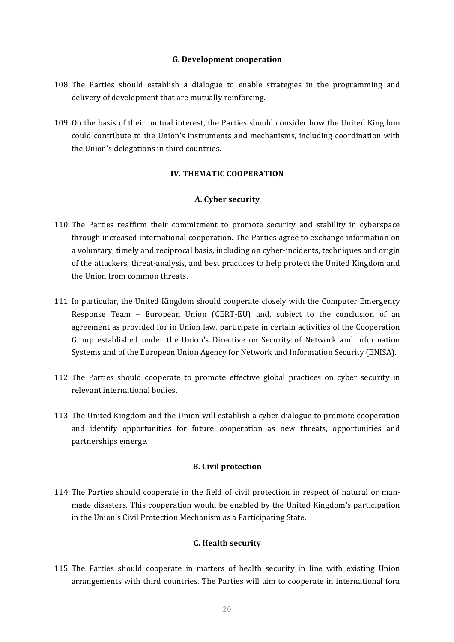#### **G.** Development cooperation

- 108. The Parties should establish a dialogue to enable strategies in the programming and delivery of development that are mutually reinforcing.
- 109. On the basis of their mutual interest, the Parties should consider how the United Kingdom could contribute to the Union's instruments and mechanisms, including coordination with the Union's delegations in third countries.

## **IV. THEMATIC COOPERATION**

## **A. Cyber security**

- 110. The Parties reaffirm their commitment to promote security and stability in cyberspace through increased international cooperation. The Parties agree to exchange information on a voluntary, timely and reciprocal basis, including on cyber-incidents, techniques and origin of the attackers, threat-analysis, and best practices to help protect the United Kingdom and the Union from common threats.
- 111. In particular, the United Kingdom should cooperate closely with the Computer Emergency Response Team  $-$  European Union (CERT-EU) and, subject to the conclusion of an agreement as provided for in Union law, participate in certain activities of the Cooperation Group established under the Union's Directive on Security of Network and Information Systems and of the European Union Agency for Network and Information Security (ENISA).
- 112. The Parties should cooperate to promote effective global practices on cyber security in relevant international hodies.
- 113. The United Kingdom and the Union will establish a cyber dialogue to promote cooperation and identify opportunities for future cooperation as new threats, opportunities and partnerships emerge.

## **B. Civil protection**

114. The Parties should cooperate in the field of civil protection in respect of natural or manmade disasters. This cooperation would be enabled by the United Kingdom's participation in the Union's Civil Protection Mechanism as a Participating State.

## **C. Health security**

115. The Parties should cooperate in matters of health security in line with existing Union arrangements with third countries. The Parties will aim to cooperate in international fora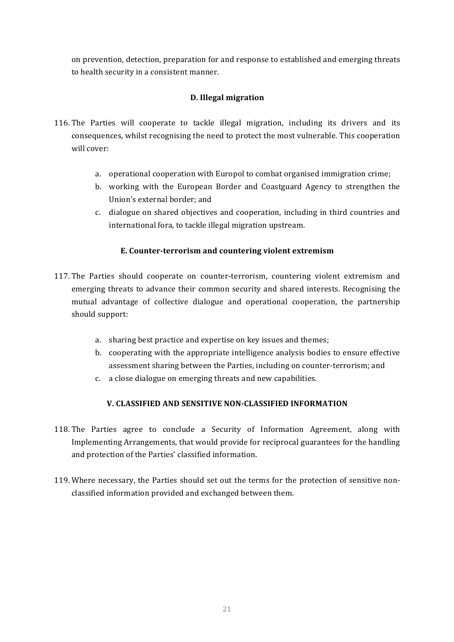on prevention, detection, preparation for and response to established and emerging threats to health security in a consistent manner.

# **D. Illegal migration**

- 116. The Parties will cooperate to tackle illegal migration, including its drivers and its consequences, whilst recognising the need to protect the most vulnerable. This cooperation will cover:
	- a. operational cooperation with Europol to combat organised immigration crime;
	- b. working with the European Border and Coastguard Agency to strengthen the Union's external border; and
	- c. dialogue on shared objectives and cooperation, including in third countries and international fora, to tackle illegal migration upstream.

# **E. Counter-terrorism and countering violent extremism**

- 117. The Parties should cooperate on counter-terrorism, countering violent extremism and emerging threats to advance their common security and shared interests. Recognising the mutual advantage of collective dialogue and operational cooperation, the partnership should support:
	- a. sharing best practice and expertise on key issues and themes;
	- b. cooperating with the appropriate intelligence analysis bodies to ensure effective assessment sharing between the Parties, including on counter-terrorism; and
	- c. a close dialogue on emerging threats and new capabilities.

## **V. CLASSIFIED AND SENSITIVE NON-CLASSIFIED INFORMATION**

- 118. The Parties agree to conclude a Security of Information Agreement, along with Implementing Arrangements, that would provide for reciprocal guarantees for the handling and protection of the Parties' classified information.
- 119. Where necessary, the Parties should set out the terms for the protection of sensitive nonclassified information provided and exchanged between them.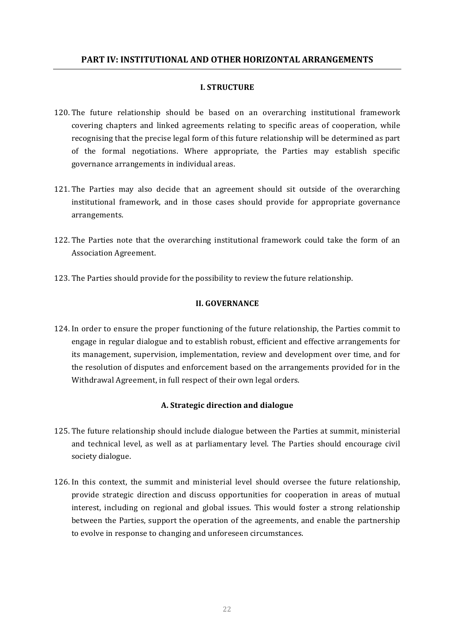## PART IV: INSTITUTIONAL AND OTHER HORIZONTAL ARRANGEMENTS

#### **I. STRUCTURE**

- 120. The future relationship should be based on an overarching institutional framework covering chapters and linked agreements relating to specific areas of cooperation, while recognising that the precise legal form of this future relationship will be determined as part of the formal negotiations. Where appropriate, the Parties may establish specific governance arrangements in individual areas.
- 121. The Parties may also decide that an agreement should sit outside of the overarching institutional framework, and in those cases should provide for appropriate governance arrangements.
- 122. The Parties note that the overarching institutional framework could take the form of an Association Agreement.
- 123. The Parties should provide for the possibility to review the future relationship.

#### **II. GOVERNANCE**

124. In order to ensure the proper functioning of the future relationship, the Parties commit to engage in regular dialogue and to establish robust, efficient and effective arrangements for its management, supervision, implementation, review and development over time, and for the resolution of disputes and enforcement based on the arrangements provided for in the Withdrawal Agreement, in full respect of their own legal orders.

#### **A. Strategic direction and dialogue**

- 125. The future relationship should include dialogue between the Parties at summit, ministerial and technical level, as well as at parliamentary level. The Parties should encourage civil society dialogue.
- 126. In this context, the summit and ministerial level should oversee the future relationship, provide strategic direction and discuss opportunities for cooperation in areas of mutual interest, including on regional and global issues. This would foster a strong relationship between the Parties, support the operation of the agreements, and enable the partnership to evolve in response to changing and unforeseen circumstances.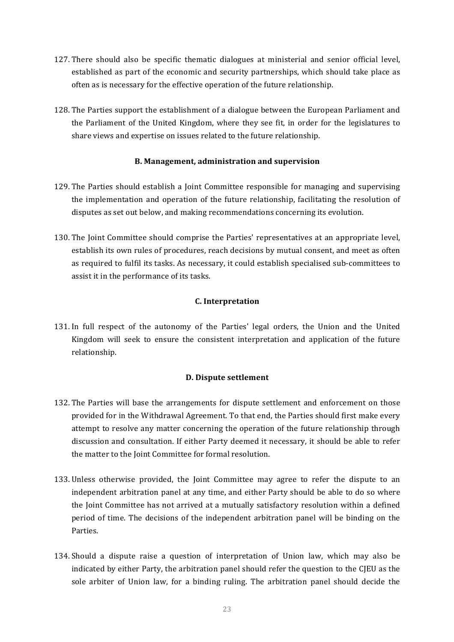- 127. There should also be specific thematic dialogues at ministerial and senior official level, established as part of the economic and security partnerships, which should take place as often as is necessary for the effective operation of the future relationship.
- 128. The Parties support the establishment of a dialogue between the European Parliament and the Parliament of the United Kingdom, where they see fit, in order for the legislatures to share views and expertise on issues related to the future relationship.

## **B. Management, administration and supervision**

- 129. The Parties should establish a Joint Committee responsible for managing and supervising the implementation and operation of the future relationship, facilitating the resolution of disputes as set out below, and making recommendations concerning its evolution.
- 130. The Joint Committee should comprise the Parties' representatives at an appropriate level, establish its own rules of procedures, reach decisions by mutual consent, and meet as often as required to fulfil its tasks. As necessary, it could establish specialised sub-committees to assist it in the performance of its tasks.

# **C. Interpretation**

131. In full respect of the autonomy of the Parties' legal orders, the Union and the United Kingdom will seek to ensure the consistent interpretation and application of the future relationship.

## **D. Dispute settlement**

- 132. The Parties will base the arrangements for dispute settlement and enforcement on those provided for in the Withdrawal Agreement. To that end, the Parties should first make every attempt to resolve any matter concerning the operation of the future relationship through discussion and consultation. If either Party deemed it necessary, it should be able to refer the matter to the Joint Committee for formal resolution.
- 133. Unless otherwise provided, the Joint Committee may agree to refer the dispute to an independent arbitration panel at any time, and either Party should be able to do so where the Ioint Committee has not arrived at a mutually satisfactory resolution within a defined period of time. The decisions of the independent arbitration panel will be binding on the Parties.
- 134. Should a dispute raise a question of interpretation of Union law, which may also be indicated by either Party, the arbitration panel should refer the question to the CJEU as the sole arbiter of Union law, for a binding ruling. The arbitration panel should decide the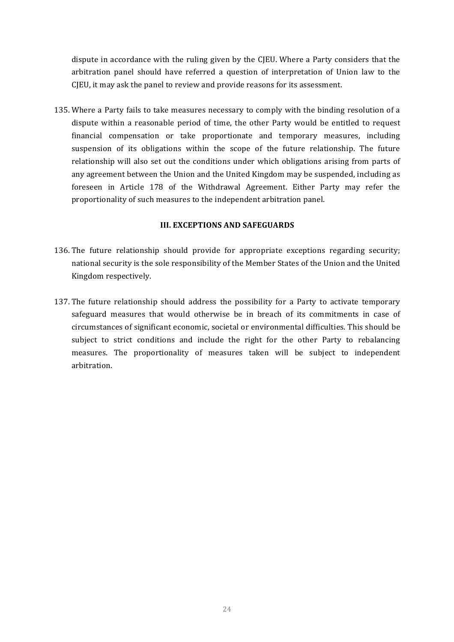dispute in accordance with the ruling given by the C[EU. Where a Party considers that the arbitration panel should have referred a question of interpretation of Union law to the CJEU, it may ask the panel to review and provide reasons for its assessment.

135. Where a Party fails to take measures necessary to comply with the binding resolution of a dispute within a reasonable period of time, the other Party would be entitled to request financial compensation or take proportionate and temporary measures, including suspension of its obligations within the scope of the future relationship. The future relationship will also set out the conditions under which obligations arising from parts of any agreement between the Union and the United Kingdom may be suspended, including as foreseen in Article 178 of the Withdrawal Agreement. Either Party may refer the proportionality of such measures to the independent arbitration panel.

#### **III. EXCEPTIONS AND SAFEGUARDS**

- 136. The future relationship should provide for appropriate exceptions regarding security; national security is the sole responsibility of the Member States of the Union and the United Kingdom respectively.
- 137. The future relationship should address the possibility for a Party to activate temporary safeguard measures that would otherwise be in breach of its commitments in case of circumstances of significant economic, societal or environmental difficulties. This should be subject to strict conditions and include the right for the other Party to rebalancing measures. The proportionality of measures taken will be subject to independent arbitration.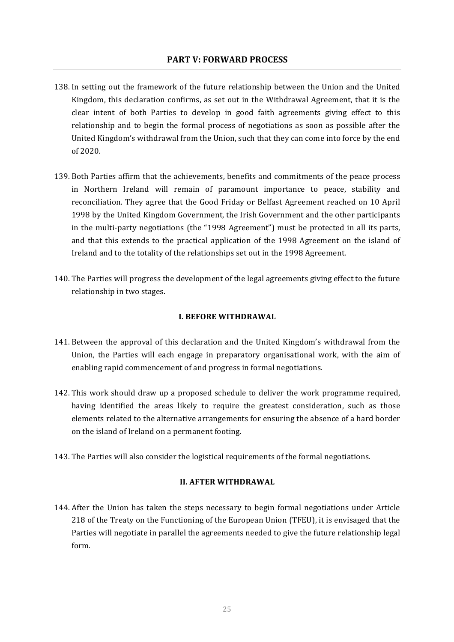## **PART V: FORWARD PROCESS**

- 138. In setting out the framework of the future relationship between the Union and the United Kingdom, this declaration confirms, as set out in the Withdrawal Agreement, that it is the clear intent of both Parties to develop in good faith agreements giving effect to this relationship and to begin the formal process of negotiations as soon as possible after the United Kingdom's withdrawal from the Union, such that they can come into force by the end of  $2020$ .
- 139. Both Parties affirm that the achievements, benefits and commitments of the peace process in Northern Ireland will remain of paramount importance to peace, stability and reconciliation. They agree that the Good Friday or Belfast Agreement reached on 10 April 1998 by the United Kingdom Government, the Irish Government and the other participants in the multi-party negotiations (the "1998 Agreement") must be protected in all its parts, and that this extends to the practical application of the 1998 Agreement on the island of Ireland and to the totality of the relationships set out in the 1998 Agreement.
- 140. The Parties will progress the development of the legal agreements giving effect to the future relationship in two stages.

#### **I. BEFORE WITHDRAWAL**

- 141. Between the approval of this declaration and the United Kingdom's withdrawal from the Union, the Parties will each engage in preparatory organisational work, with the aim of enabling rapid commencement of and progress in formal negotiations.
- 142. This work should draw up a proposed schedule to deliver the work programme required, having identified the areas likely to require the greatest consideration, such as those elements related to the alternative arrangements for ensuring the absence of a hard border on the island of Ireland on a permanent footing.
- 143. The Parties will also consider the logistical requirements of the formal negotiations.

## **II. AFTER WITHDRAWAL**

144. After the Union has taken the steps necessary to begin formal negotiations under Article 218 of the Treaty on the Functioning of the European Union (TFEU), it is envisaged that the Parties will negotiate in parallel the agreements needed to give the future relationship legal form.